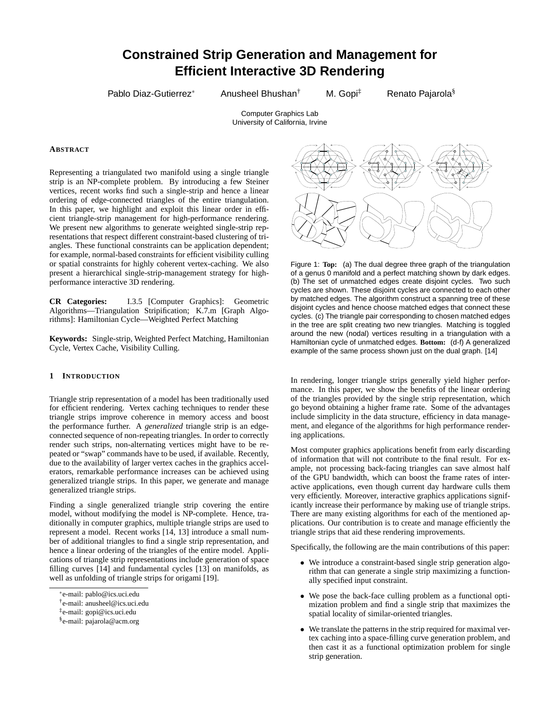# **Constrained Strip Generation and Management for Efficient Interactive 3D Rendering**

Pablo Diaz-Gutierrez<sup>∗</sup> Anusheel Bhushan<sup>†</sup> M. Gopi<sup>‡</sup> Renato Pajarola<sup>§</sup>

Computer Graphics Lab University of California, Irvine

# **ABSTRACT**

Representing a triangulated two manifold using a single triangle strip is an NP-complete problem. By introducing a few Steiner vertices, recent works find such a single-strip and hence a linear ordering of edge-connected triangles of the entire triangulation. In this paper, we highlight and exploit this linear order in efficient triangle-strip management for high-performance rendering. We present new algorithms to generate weighted single-strip representations that respect different constraint-based clustering of triangles. These functional constraints can be application dependent; for example, normal-based constraints for efficient visibility culling or spatial constraints for highly coherent vertex-caching. We also present a hierarchical single-strip-management strategy for highperformance interactive 3D rendering.

**CR Categories:** I.3.5 [Computer Graphics]: Geometric Algorithms—Triangulation Stripification; K.7.m [Graph Algorithms]: Hamiltonian Cycle—Weighted Perfect Matching

**Keywords:** Single-strip, Weighted Perfect Matching, Hamiltonian Cycle, Vertex Cache, Visibility Culling.

#### **1 INTRODUCTION**

Triangle strip representation of a model has been traditionally used for efficient rendering. Vertex caching techniques to render these triangle strips improve coherence in memory access and boost the performance further. A *generalized* triangle strip is an edgeconnected sequence of non-repeating triangles. In order to correctly render such strips, non-alternating vertices might have to be repeated or "swap" commands have to be used, if available. Recently, due to the availability of larger vertex caches in the graphics accelerators, remarkable performance increases can be achieved using generalized triangle strips. In this paper, we generate and manage generalized triangle strips.

Finding a single generalized triangle strip covering the entire model, without modifying the model is NP-complete. Hence, traditionally in computer graphics, multiple triangle strips are used to represent a model. Recent works [14, 13] introduce a small number of additional triangles to find a single strip representation, and hence a linear ordering of the triangles of the entire model. Applications of triangle strip representations include generation of space filling curves [14] and fundamental cycles [13] on manifolds, as well as unfolding of triangle strips for origami [19].



Figure 1: **Top:** (a) The dual degree three graph of the triangulation of a genus 0 manifold and a perfect matching shown by dark edges. (b) The set of unmatched edges create disjoint cycles. Two such cycles are shown. These disjoint cycles are connected to each other by matched edges. The algorithm construct a spanning tree of these disjoint cycles and hence choose matched edges that connect these cycles. (c) The triangle pair corresponding to chosen matched edges in the tree are split creating two new triangles. Matching is toggled around the new (nodal) vertices resulting in a triangulation with a Hamiltonian cycle of unmatched edges. **Bottom:** (d-f) A generalized example of the same process shown just on the dual graph. [14]

In rendering, longer triangle strips generally yield higher performance. In this paper, we show the benefits of the linear ordering of the triangles provided by the single strip representation, which go beyond obtaining a higher frame rate. Some of the advantages include simplicity in the data structure, efficiency in data management, and elegance of the algorithms for high performance rendering applications.

Most computer graphics applications benefit from early discarding of information that will not contribute to the final result. For example, not processing back-facing triangles can save almost half of the GPU bandwidth, which can boost the frame rates of interactive applications, even though current day hardware culls them very efficiently. Moreover, interactive graphics applications significantly increase their performance by making use of triangle strips. There are many existing algorithms for each of the mentioned applications. Our contribution is to create and manage efficiently the triangle strips that aid these rendering improvements.

Specifically, the following are the main contributions of this paper:

- We introduce a constraint-based single strip generation algorithm that can generate a single strip maximizing a functionally specified input constraint.
- We pose the back-face culling problem as a functional optimization problem and find a single strip that maximizes the spatial locality of similar-oriented triangles.
- We translate the patterns in the strip required for maximal vertex caching into a space-filling curve generation problem, and then cast it as a functional optimization problem for single strip generation.

<sup>∗</sup> e-mail: pablo@ics.uci.edu

<sup>†</sup> e-mail: anusheel@ics.uci.edu

<sup>‡</sup> e-mail: gopi@ics.uci.edu

<sup>§</sup> e-mail: pajarola@acm.org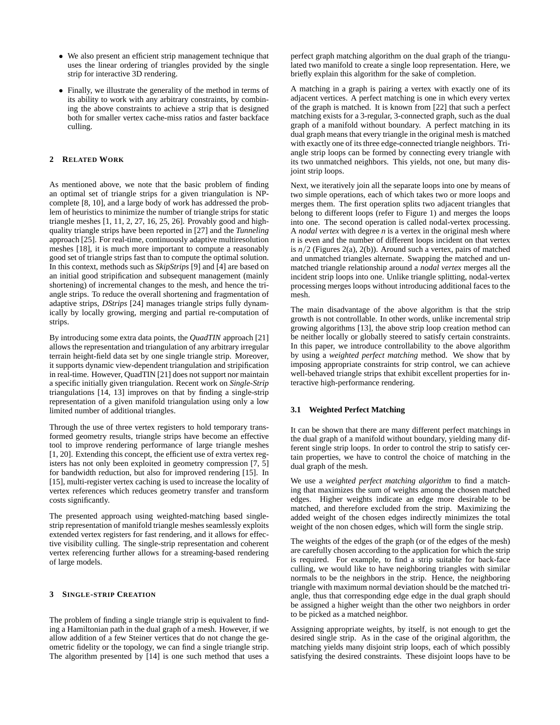- We also present an efficient strip management technique that uses the linear ordering of triangles provided by the single strip for interactive 3D rendering.
- Finally, we illustrate the generality of the method in terms of its ability to work with any arbitrary constraints, by combining the above constraints to achieve a strip that is designed both for smaller vertex cache-miss ratios and faster backface culling.

## **2 RELATED WORK**

As mentioned above, we note that the basic problem of finding an optimal set of triangle strips for a given triangulation is NPcomplete [8, 10], and a large body of work has addressed the problem of heuristics to minimize the number of triangle strips for static triangle meshes [1, 11, 2, 27, 16, 25, 26]. Provably good and highquality triangle strips have been reported in [27] and the *Tunneling* approach [25]. For real-time, continuously adaptive multiresolution meshes [18], it is much more important to compute a reasonably good set of triangle strips fast than to compute the optimal solution. In this context, methods such as *SkipStrips* [9] and [4] are based on an initial good stripification and subsequent management (mainly shortening) of incremental changes to the mesh, and hence the triangle strips. To reduce the overall shortening and fragmentation of adaptive strips, *DStrips* [24] manages triangle strips fully dynamically by locally growing, merging and partial re-computation of strips.

By introducing some extra data points, the *QuadTIN* approach [21] allows the representation and triangulation of any arbitrary irregular terrain height-field data set by one single triangle strip. Moreover, it supports dynamic view-dependent triangulation and stripification in real-time. However, QuadTIN [21] does not support nor maintain a specific initially given triangulation. Recent work on *Single-Strip* triangulations [14, 13] improves on that by finding a single-strip representation of a given manifold triangulation using only a low limited number of additional triangles.

Through the use of three vertex registers to hold temporary transformed geometry results, triangle strips have become an effective tool to improve rendering performance of large triangle meshes [1, 20]. Extending this concept, the efficient use of extra vertex registers has not only been exploited in geometry compression [7, 5] for bandwidth reduction, but also for improved rendering [15]. In [15], multi-register vertex caching is used to increase the locality of vertex references which reduces geometry transfer and transform costs significantly.

The presented approach using weighted-matching based singlestrip representation of manifold triangle meshes seamlessly exploits extended vertex registers for fast rendering, and it allows for effective visibility culling. The single-strip representation and coherent vertex referencing further allows for a streaming-based rendering of large models.

# **3 SINGLE-STRIP CREATION**

The problem of finding a single triangle strip is equivalent to finding a Hamiltonian path in the dual graph of a mesh. However, if we allow addition of a few Steiner vertices that do not change the geometric fidelity or the topology, we can find a single triangle strip. The algorithm presented by [14] is one such method that uses a perfect graph matching algorithm on the dual graph of the triangulated two manifold to create a single loop representation. Here, we briefly explain this algorithm for the sake of completion.

A matching in a graph is pairing a vertex with exactly one of its adjacent vertices. A perfect matching is one in which every vertex of the graph is matched. It is known from [22] that such a perfect matching exists for a 3-regular, 3-connected graph, such as the dual graph of a manifold without boundary. A perfect matching in its dual graph means that every triangle in the original mesh is matched with exactly one of its three edge-connected triangle neighbors. Triangle strip loops can be formed by connecting every triangle with its two unmatched neighbors. This yields, not one, but many disjoint strip loops.

Next, we iteratively join all the separate loops into one by means of two simple operations, each of which takes two or more loops and merges them. The first operation splits two adjacent triangles that belong to different loops (refer to Figure 1) and merges the loops into one. The second operation is called nodal-vertex processing. A *nodal vertex* with degree *n* is a vertex in the original mesh where *n* is even and the number of different loops incident on that vertex is  $n/2$  (Figures 2(a), 2(b)). Around such a vertex, pairs of matched and unmatched triangles alternate. Swapping the matched and unmatched triangle relationship around a *nodal vertex* merges all the incident strip loops into one. Unlike triangle splitting, nodal-vertex processing merges loops without introducing additional faces to the mesh.

The main disadvantage of the above algorithm is that the strip growth is not controllable. In other words, unlike incremental strip growing algorithms [13], the above strip loop creation method can be neither locally or globally steered to satisfy certain constraints. In this paper, we introduce controllability to the above algorithm by using a *weighted perfect matching* method. We show that by imposing appropriate constraints for strip control, we can achieve well-behaved triangle strips that exhibit excellent properties for interactive high-performance rendering.

#### **3.1 Weighted Perfect Matching**

It can be shown that there are many different perfect matchings in the dual graph of a manifold without boundary, yielding many different single strip loops. In order to control the strip to satisfy certain properties, we have to control the choice of matching in the dual graph of the mesh.

We use a *weighted perfect matching algorithm* to find a matching that maximizes the sum of weights among the chosen matched edges. Higher weights indicate an edge more desirable to be matched, and therefore excluded from the strip. Maximizing the added weight of the chosen edges indirectly minimizes the total weight of the non chosen edges, which will form the single strip.

The weights of the edges of the graph (or of the edges of the mesh) are carefully chosen according to the application for which the strip is required. For example, to find a strip suitable for back-face culling, we would like to have neighboring triangles with similar normals to be the neighbors in the strip. Hence, the neighboring triangle with maximum normal deviation should be the matched triangle, thus that corresponding edge edge in the dual graph should be assigned a higher weight than the other two neighbors in order to be picked as a matched neighbor.

Assigning appropriate weights, by itself, is not enough to get the desired single strip. As in the case of the original algorithm, the matching yields many disjoint strip loops, each of which possibly satisfying the desired constraints. These disjoint loops have to be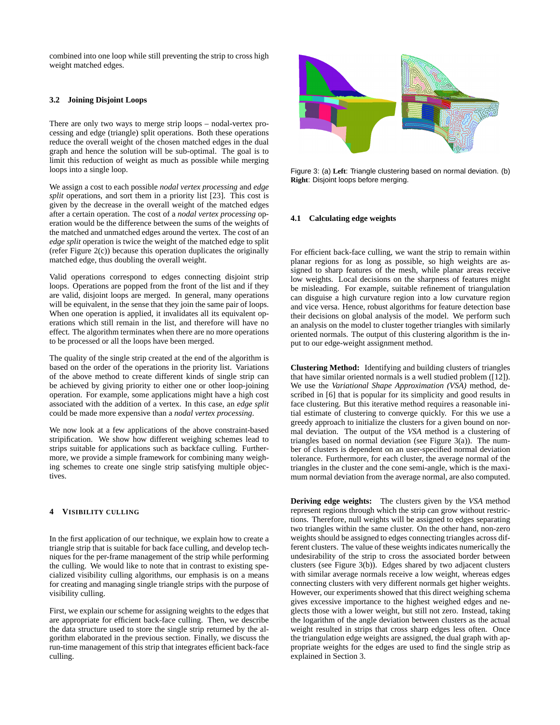combined into one loop while still preventing the strip to cross high weight matched edges.

# **3.2 Joining Disjoint Loops**

There are only two ways to merge strip loops – nodal-vertex processing and edge (triangle) split operations. Both these operations reduce the overall weight of the chosen matched edges in the dual graph and hence the solution will be sub-optimal. The goal is to limit this reduction of weight as much as possible while merging loops into a single loop.

We assign a cost to each possible *nodal vertex processing* and *edge split* operations, and sort them in a priority list [23]. This cost is given by the decrease in the overall weight of the matched edges after a certain operation. The cost of a *nodal vertex processing* operation would be the difference between the sums of the weights of the matched and unmatched edges around the vertex. The cost of an *edge split* operation is twice the weight of the matched edge to split (refer Figure 2(c)) because this operation duplicates the originally matched edge, thus doubling the overall weight.

Valid operations correspond to edges connecting disjoint strip loops. Operations are popped from the front of the list and if they are valid, disjoint loops are merged. In general, many operations will be equivalent, in the sense that they join the same pair of loops. When one operation is applied, it invalidates all its equivalent operations which still remain in the list, and therefore will have no effect. The algorithm terminates when there are no more operations to be processed or all the loops have been merged.

The quality of the single strip created at the end of the algorithm is based on the order of the operations in the priority list. Variations of the above method to create different kinds of single strip can be achieved by giving priority to either one or other loop-joining operation. For example, some applications might have a high cost associated with the addition of a vertex. In this case, an *edge split* could be made more expensive than a *nodal vertex processing*.

We now look at a few applications of the above constraint-based stripification. We show how different weighing schemes lead to strips suitable for applications such as backface culling. Furthermore, we provide a simple framework for combining many weighing schemes to create one single strip satisfying multiple objectives.

## **4 VISIBILITY CULLING**

In the first application of our technique, we explain how to create a triangle strip that is suitable for back face culling, and develop techniques for the per-frame management of the strip while performing the culling. We would like to note that in contrast to existing specialized visibility culling algorithms, our emphasis is on a means for creating and managing single triangle strips with the purpose of visibility culling.

First, we explain our scheme for assigning weights to the edges that are appropriate for efficient back-face culling. Then, we describe the data structure used to store the single strip returned by the algorithm elaborated in the previous section. Finally, we discuss the run-time management of this strip that integrates efficient back-face culling.



Figure 3: (a) **Left**: Triangle clustering based on normal deviation. (b) **Right**: Disjoint loops before merging.

#### **4.1 Calculating edge weights**

For efficient back-face culling, we want the strip to remain within planar regions for as long as possible, so high weights are assigned to sharp features of the mesh, while planar areas receive low weights. Local decisions on the sharpness of features might be misleading. For example, suitable refinement of triangulation can disguise a high curvature region into a low curvature region and vice versa. Hence, robust algorithms for feature detection base their decisions on global analysis of the model. We perform such an analysis on the model to cluster together triangles with similarly oriented normals. The output of this clustering algorithm is the input to our edge-weight assignment method.

**Clustering Method:** Identifying and building clusters of triangles that have similar oriented normals is a well studied problem ([12]). We use the *Variational Shape Approximation (VSA)* method, described in [6] that is popular for its simplicity and good results in face clustering. But this iterative method requires a reasonable initial estimate of clustering to converge quickly. For this we use a greedy approach to initialize the clusters for a given bound on normal deviation. The output of the *VSA* method is a clustering of triangles based on normal deviation (see Figure 3(a)). The number of clusters is dependent on an user-specified normal deviation tolerance. Furthermore, for each cluster, the average normal of the triangles in the cluster and the cone semi-angle, which is the maximum normal deviation from the average normal, are also computed.

**Deriving edge weights:** The clusters given by the *VSA* method represent regions through which the strip can grow without restrictions. Therefore, null weights will be assigned to edges separating two triangles within the same cluster. On the other hand, non-zero weights should be assigned to edges connecting triangles across different clusters. The value of these weights indicates numerically the undesirability of the strip to cross the associated border between clusters (see Figure 3(b)). Edges shared by two adjacent clusters with similar average normals receive a low weight, whereas edges connecting clusters with very different normals get higher weights. However, our experiments showed that this direct weighing schema gives excessive importance to the highest weighed edges and neglects those with a lower weight, but still not zero. Instead, taking the logarithm of the angle deviation between clusters as the actual weight resulted in strips that cross sharp edges less often. Once the triangulation edge weights are assigned, the dual graph with appropriate weights for the edges are used to find the single strip as explained in Section 3.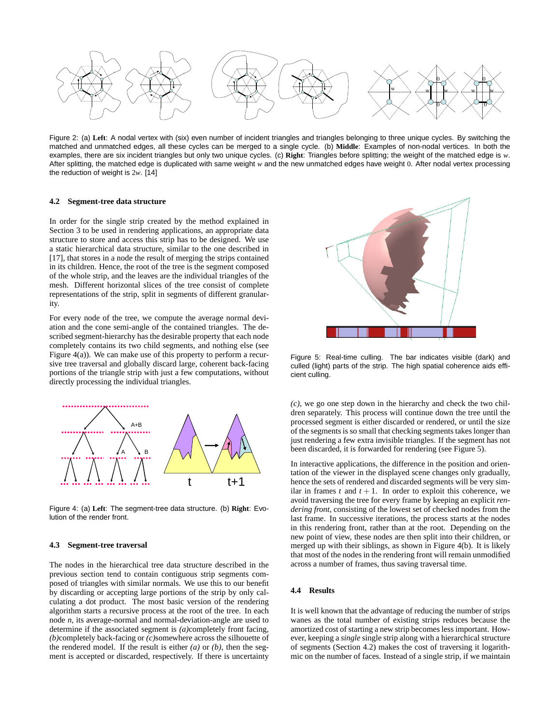

Figure 2: (a) **Left**: A nodal vertex with (six) even number of incident triangles and triangles belonging to three unique cycles. By switching the matched and unmatched edges, all these cycles can be merged to a single cycle. (b) **Middle**: Examples of non-nodal vertices. In both the examples, there are six incident triangles but only two unique cycles. (c) **Right**: Triangles before splitting; the weight of the matched edge is *w*. After splitting, the matched edge is duplicated with same weight *w* and the new unmatched edges have weight 0. After nodal vertex processing the reduction of weight is 2*w*. [14]

#### **4.2 Segment-tree data structure**

In order for the single strip created by the method explained in Section 3 to be used in rendering applications, an appropriate data structure to store and access this strip has to be designed. We use a static hierarchical data structure, similar to the one described in [17], that stores in a node the result of merging the strips contained in its children. Hence, the root of the tree is the segment composed of the whole strip, and the leaves are the individual triangles of the mesh. Different horizontal slices of the tree consist of complete representations of the strip, split in segments of different granularity.

For every node of the tree, we compute the average normal deviation and the cone semi-angle of the contained triangles. The described segment-hierarchy has the desirable property that each node completely contains its two child segments, and nothing else (see Figure 4(a)). We can make use of this property to perform a recursive tree traversal and globally discard large, coherent back-facing portions of the triangle strip with just a few computations, without directly processing the individual triangles.



Figure 4: (a) **Left**: The segment-tree data structure. (b) **Right**: Evolution of the render front.

#### **4.3 Segment-tree traversal**

The nodes in the hierarchical tree data structure described in the previous section tend to contain contiguous strip segments composed of triangles with similar normals. We use this to our benefit by discarding or accepting large portions of the strip by only calculating a dot product. The most basic version of the rendering algorithm starts a recursive process at the root of the tree. In each node *n*, its average-normal and normal-deviation-angle are used to determine if the associated segment is *(a)*completely front facing, *(b)*completely back-facing or *(c)*somewhere across the silhouette of the rendered model. If the result is either *(a)* or *(b)*, then the segment is accepted or discarded, respectively. If there is uncertainty



Figure 5: Real-time culling. The bar indicates visible (dark) and culled (light) parts of the strip. The high spatial coherence aids efficient culling.

*(c)*, we go one step down in the hierarchy and check the two children separately. This process will continue down the tree until the processed segment is either discarded or rendered, or until the size of the segments is so small that checking segments takes longer than just rendering a few extra invisible triangles. If the segment has not been discarded, it is forwarded for rendering (see Figure 5).

In interactive applications, the difference in the position and orientation of the viewer in the displayed scene changes only gradually, hence the sets of rendered and discarded segments will be very similar in frames  $t$  and  $t + 1$ . In order to exploit this coherence, we avoid traversing the tree for every frame by keeping an explicit *rendering front*, consisting of the lowest set of checked nodes from the last frame. In successive iterations, the process starts at the nodes in this rendering front, rather than at the root. Depending on the new point of view, these nodes are then split into their children, or merged up with their siblings, as shown in Figure 4(b). It is likely that most of the nodes in the rendering front will remain unmodified across a number of frames, thus saving traversal time.

## **4.4 Results**

It is well known that the advantage of reducing the number of strips wanes as the total number of existing strips reduces because the amortized cost of starting a new strip becomes less important. However, keeping a *single* single strip along with a hierarchical structure of segments (Section 4.2) makes the cost of traversing it logarithmic on the number of faces. Instead of a single strip, if we maintain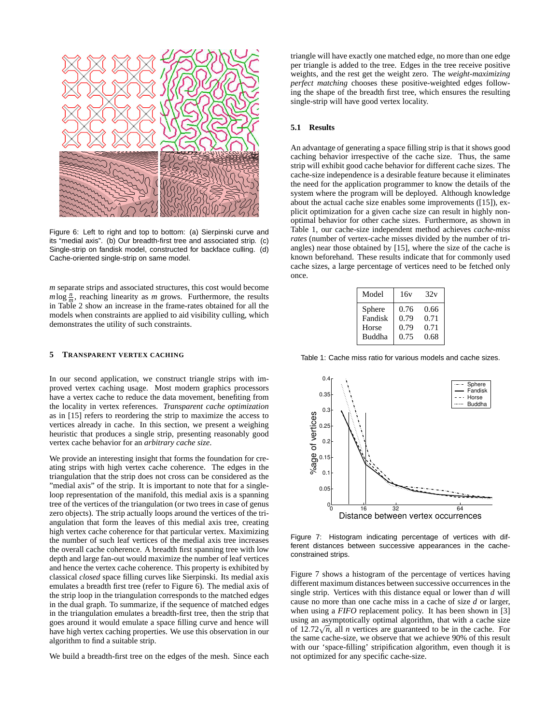

Figure 6: Left to right and top to bottom: (a) Sierpinski curve and its "medial axis". (b) Our breadth-first tree and associated strip. (c) Single-strip on fandisk model, constructed for backface culling. (d) Cache-oriented single-strip on same model.

*m* separate strips and associated structures, this cost would become  $m \log \frac{n}{m}$ , reaching linearity as *m* grows. Furthermore, the results in Table 2 show an increase in the frame-rates obtained for all the models when constraints are applied to aid visibility culling, which demonstrates the utility of such constraints.

#### **5 TRANSPARENT VERTEX CACHING**

In our second application, we construct triangle strips with improved vertex caching usage. Most modern graphics processors have a vertex cache to reduce the data movement, benefiting from the locality in vertex references. *Transparent cache optimization* as in [15] refers to reordering the strip to maximize the access to vertices already in cache. In this section, we present a weighing heuristic that produces a single strip, presenting reasonably good vertex cache behavior for an *arbitrary cache size*.

We provide an interesting insight that forms the foundation for creating strips with high vertex cache coherence. The edges in the triangulation that the strip does not cross can be considered as the "medial axis" of the strip. It is important to note that for a singleloop representation of the manifold, this medial axis is a spanning tree of the vertices of the triangulation (or two trees in case of genus zero objects). The strip actually loops around the vertices of the triangulation that form the leaves of this medial axis tree, creating high vertex cache coherence for that particular vertex. Maximizing the number of such leaf vertices of the medial axis tree increases the overall cache coherence. A breadth first spanning tree with low depth and large fan-out would maximize the number of leaf vertices and hence the vertex cache coherence. This property is exhibited by classical *closed* space filling curves like Sierpinski. Its medial axis emulates a breadth first tree (refer to Figure 6). The medial axis of the strip loop in the triangulation corresponds to the matched edges in the dual graph. To summarize, if the sequence of matched edges in the triangulation emulates a breadth-first tree, then the strip that goes around it would emulate a space filling curve and hence will have high vertex caching properties. We use this observation in our algorithm to find a suitable strip.

We build a breadth-first tree on the edges of the mesh. Since each

triangle will have exactly one matched edge, no more than one edge per triangle is added to the tree. Edges in the tree receive positive weights, and the rest get the weight zero. The *weight-maximizing perfect matching* chooses these positive-weighted edges following the shape of the breadth first tree, which ensures the resulting single-strip will have good vertex locality.

## **5.1 Results**

An advantage of generating a space filling strip is that it shows good caching behavior irrespective of the cache size. Thus, the same strip will exhibit good cache behavior for different cache sizes. The cache-size independence is a desirable feature because it eliminates the need for the application programmer to know the details of the system where the program will be deployed. Although knowledge about the actual cache size enables some improvements ([15]), explicit optimization for a given cache size can result in highly nonoptimal behavior for other cache sizes. Furthermore, as shown in Table 1, our cache-size independent method achieves *cache-miss rates* (number of vertex-cache misses divided by the number of triangles) near those obtained by [15], where the size of the cache is known beforehand. These results indicate that for commonly used cache sizes, a large percentage of vertices need to be fetched only once.

| Model         | 16v  | 32v  |
|---------------|------|------|
| Sphere        | 0.76 | 0.66 |
| Fandisk       | 0.79 | 0.71 |
| Horse         | 0.79 | 0.71 |
| <b>Buddha</b> | 0.75 | 0.68 |

Table 1: Cache miss ratio for various models and cache sizes.



Figure 7: Histogram indicating percentage of vertices with different distances between successive appearances in the cacheconstrained strips.

Figure 7 shows a histogram of the percentage of vertices having different maximum distances between successive occurrences in the single strip. Vertices with this distance equal or lower than *d* will cause no more than one cache miss in a cache of size *d* or larger, when using a *FIFO* replacement policy. It has been shown in [3] using an asymptotically optimal algorithm, that with a cache size  $\alpha$  and asymptotically optimal algorithm, that with a cache size of 12.72 $\sqrt{n}$ , all *n* vertices are guaranteed to be in the cache. For the same cache-size, we observe that we achieve 90% of this result with our 'space-filling' stripification algorithm, even though it is not optimized for any specific cache-size.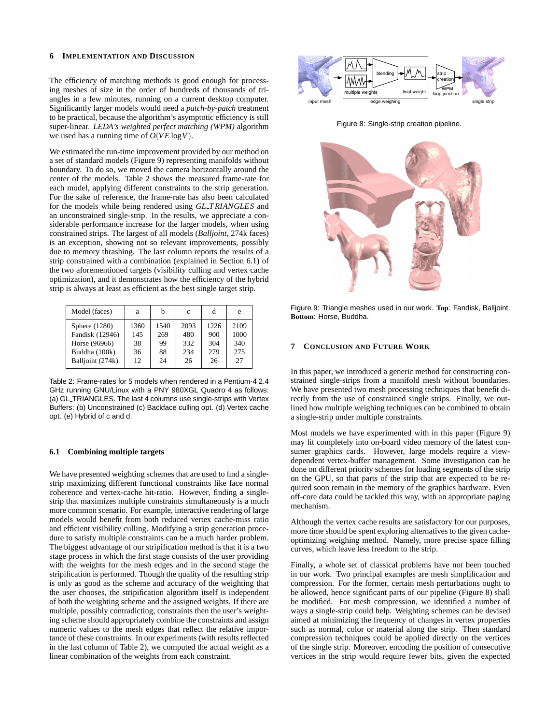#### **6 IMPLEMENTATION AND DISCUSSION**

The efficiency of matching methods is good enough for processing meshes of size in the order of hundreds of thousands of triangles in a few minutes, running on a current desktop computer. Significantly larger models would need a *patch-by-patch* treatment to be practical, because the algorithm's asymptotic efficiency is still super-linear. *LEDA's weighted perfect matching (WPM)* algorithm we used has a running time of  $O(VE \log V)$ .

We estimated the run-time improvement provided by our method on a set of standard models (Figure 9) representing manifolds without boundary. To do so, we moved the camera horizontally around the center of the models. Table 2 shows the measured frame-rate for each model, applying different constraints to the strip generation. For the sake of reference, the frame-rate has also been calculated for the models while being rendered using *GL T RIANGLES* and an unconstrained single-strip. In the results, we appreciate a considerable performance increase for the larger models, when using constrained strips. The largest of all models (*Balljoint*, 274k faces) is an exception, showing not so relevant improvements, possibly due to memory thrashing. The last column reports the results of a strip constrained with a combination (explained in Section 6.1) of the two aforementioned targets (visibility culling and vertex cache optimization), and it demonstrates how the efficiency of the hybrid strip is always at least as efficient as the best single target strip.

| 2109<br>1360<br>2093<br>1226<br>Sphere (1280)<br>1540<br>Fandisk (12946)<br>1000<br>269<br>480<br>900<br>145<br>Horse (96966)<br>332<br>38<br>304<br>340<br>99<br>88<br>275<br>234<br>279<br>36 | Model (faces) | a | b | c | d | e |
|-------------------------------------------------------------------------------------------------------------------------------------------------------------------------------------------------|---------------|---|---|---|---|---|
| Balljoint (274k)<br>24<br>12<br>26<br>26<br>27                                                                                                                                                  | Buddha (100k) |   |   |   |   |   |

Table 2: Frame-rates for 5 models when rendered in a Pentium-4 2.4 GHz running GNU/Linux with a PNY 980XGL Quadro 4 as follows: (a) GL\_TRIANGLES. The last 4 columns use single-strips with Vertex Buffers: (b) Unconstrained (c) Backface culling opt. (d) Vertex cache opt. (e) Hybrid of c and d.

## **6.1 Combining multiple targets**

We have presented weighting schemes that are used to find a singlestrip maximizing different functional constraints like face normal coherence and vertex-cache hit-ratio. However, finding a singlestrip that maximizes multiple constraints simultaneously is a much more common scenario. For example, interactive rendering of large models would benefit from both reduced vertex cache-miss ratio and efficient visibility culling. Modifying a strip generation procedure to satisfy multiple constraints can be a much harder problem. The biggest advantage of our stripification method is that it is a two stage process in which the first stage consists of the user providing with the weights for the mesh edges and in the second stage the stripification is performed. Though the quality of the resulting strip is only as good as the scheme and accuracy of the weighting that the user chooses, the stripification algorithm itself is independent of both the weighting scheme and the assigned weights. If there are multiple, possibly contradicting, constraints then the user's weighting scheme should appropriately combine the constraints and assign numeric values to the mesh edges that reflect the relative importance of these constraints. In our experiments (with results reflected in the last column of Table 2), we computed the actual weight as a linear combination of the weights from each constraint.



Figure 8: Single-strip creation pipeline.



Figure 9: Triangle meshes used in our work. **Top**: Fandisk, Balljoint. **Bottom**: Horse, Buddha.

### **7 CONCLUSION AND FUTURE WORK**

In this paper, we introduced a generic method for constructing constrained single-strips from a manifold mesh without boundaries. We have presented two mesh processing techniques that benefit directly from the use of constrained single strips. Finally, we outlined how multiple weighing techniques can be combined to obtain a single-strip under multiple constraints.

Most models we have experimented with in this paper (Figure 9) may fit completely into on-board video memory of the latest consumer graphics cards. However, large models require a viewdependent vertex-buffer management. Some investigation can be done on different priority schemes for loading segments of the strip on the GPU, so that parts of the strip that are expected to be required soon remain in the memory of the graphics hardware. Even off-core data could be tackled this way, with an appropriate paging mechanism.

Although the vertex cache results are satisfactory for our purposes, more time should be spent exploring alternatives to the given cacheoptimizing weighing method. Namely, more precise space filling curves, which leave less freedom to the strip.

Finally, a whole set of classical problems have not been touched in our work. Two principal examples are mesh simplification and compression. For the former, certain mesh perturbations ought to be allowed, hence significant parts of our pipeline (Figure 8) shall be modified. For mesh compression, we identified a number of ways a single-strip could help. Weighting schemes can be devised aimed at minimizing the frequency of changes in vertex properties such as normal, color or material along the strip. Then standard compression techniques could be applied directly on the vertices of the single strip. Moreover, encoding the position of consecutive vertices in the strip would require fewer bits, given the expected